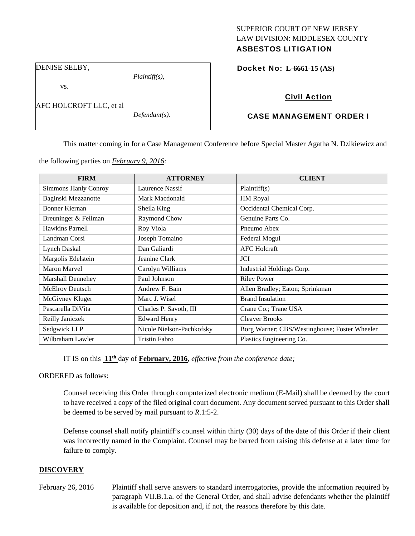# SUPERIOR COURT OF NEW JERSEY LAW DIVISION: MIDDLESEX COUNTY

# ASBESTOS LITIGATION

DENISE SELBY,

*Plaintiff(s),* 

Docket No: **L-6661-15 (AS)** 

# vs.

AFC HOLCROFT LLC, et al

*Defendant(s).* 

## Civil Action

# CASE MANAGEMENT ORDER I

This matter coming in for a Case Management Conference before Special Master Agatha N. Dzikiewicz and

the following parties on *February 9, 2016:* 

| <b>FIRM</b>                 | <b>ATTORNEY</b>           | <b>CLIENT</b>                                 |
|-----------------------------|---------------------------|-----------------------------------------------|
| <b>Simmons Hanly Conroy</b> | Laurence Nassif           | Plaintiff(s)                                  |
| Baginski Mezzanotte         | Mark Macdonald            | <b>HM Royal</b>                               |
| <b>Bonner Kiernan</b>       | Sheila King               | Occidental Chemical Corp.                     |
| Breuninger & Fellman        | Raymond Chow              | Genuine Parts Co.                             |
| Hawkins Parnell             | Roy Viola                 | Pneumo Abex                                   |
| Landman Corsi               | Joseph Tomaino            | Federal Mogul                                 |
| <b>Lynch Daskal</b>         | Dan Galiardi              | <b>AFC</b> Holcraft                           |
| Margolis Edelstein          | Jeanine Clark             | JCI                                           |
| <b>Maron Marvel</b>         | Carolyn Williams          | Industrial Holdings Corp.                     |
| <b>Marshall Dennehey</b>    | Paul Johnson              | <b>Riley Power</b>                            |
| <b>McElroy Deutsch</b>      | Andrew F. Bain            | Allen Bradley; Eaton; Sprinkman               |
| McGivney Kluger             | Marc J. Wisel             | <b>Brand Insulation</b>                       |
| Pascarella DiVita           | Charles P. Savoth, III    | Crane Co.; Trane USA                          |
| Reilly Janiczek             | <b>Edward Henry</b>       | <b>Cleaver Brooks</b>                         |
| Sedgwick LLP                | Nicole Nielson-Pachkofsky | Borg Warner; CBS/Westinghouse; Foster Wheeler |
| Wilbraham Lawler            | Tristin Fabro             | Plastics Engineering Co.                      |

IT IS on this **11th** day of **February, 2016**, *effective from the conference date;*

ORDERED as follows:

Counsel receiving this Order through computerized electronic medium (E-Mail) shall be deemed by the court to have received a copy of the filed original court document. Any document served pursuant to this Order shall be deemed to be served by mail pursuant to *R*.1:5-2.

Defense counsel shall notify plaintiff's counsel within thirty (30) days of the date of this Order if their client was incorrectly named in the Complaint. Counsel may be barred from raising this defense at a later time for failure to comply.

## **DISCOVERY**

February 26, 2016 Plaintiff shall serve answers to standard interrogatories, provide the information required by paragraph VII.B.1.a. of the General Order, and shall advise defendants whether the plaintiff is available for deposition and, if not, the reasons therefore by this date.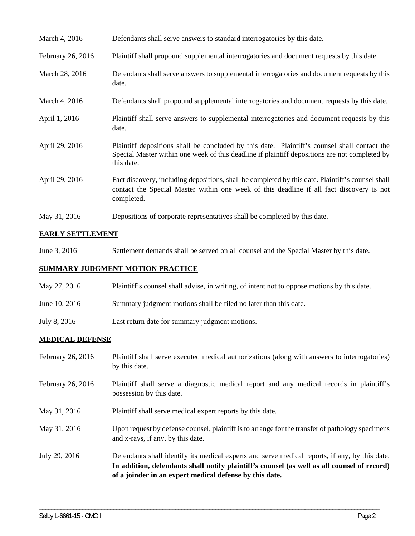| March 4, 2016 |  | Defendants shall serve answers to standard interrogatories by this date. |
|---------------|--|--------------------------------------------------------------------------|
|---------------|--|--------------------------------------------------------------------------|

- February 26, 2016 Plaintiff shall propound supplemental interrogatories and document requests by this date.
- March 28, 2016 Defendants shall serve answers to supplemental interrogatories and document requests by this date.
- March 4, 2016 Defendants shall propound supplemental interrogatories and document requests by this date.
- April 1, 2016 Plaintiff shall serve answers to supplemental interrogatories and document requests by this date.
- April 29, 2016 Plaintiff depositions shall be concluded by this date. Plaintiff's counsel shall contact the Special Master within one week of this deadline if plaintiff depositions are not completed by this date.
- April 29, 2016 Fact discovery, including depositions, shall be completed by this date. Plaintiff's counsel shall contact the Special Master within one week of this deadline if all fact discovery is not completed.
- May 31, 2016 Depositions of corporate representatives shall be completed by this date.

## **EARLY SETTLEMENT**

June 3, 2016 Settlement demands shall be served on all counsel and the Special Master by this date.

#### **SUMMARY JUDGMENT MOTION PRACTICE**

- May 27, 2016 Plaintiff's counsel shall advise, in writing, of intent not to oppose motions by this date.
- June 10, 2016 Summary judgment motions shall be filed no later than this date.
- July 8, 2016 Last return date for summary judgment motions.

#### **MEDICAL DEFENSE**

February 26, 2016 Plaintiff shall serve executed medical authorizations (along with answers to interrogatories) by this date. February 26, 2016 Plaintiff shall serve a diagnostic medical report and any medical records in plaintiff's possession by this date. May 31, 2016 Plaintiff shall serve medical expert reports by this date. May 31, 2016 Upon request by defense counsel, plaintiff is to arrange for the transfer of pathology specimens and x-rays, if any, by this date. July 29, 2016 Defendants shall identify its medical experts and serve medical reports, if any, by this date. **In addition, defendants shall notify plaintiff's counsel (as well as all counsel of record) of a joinder in an expert medical defense by this date.** 

\_\_\_\_\_\_\_\_\_\_\_\_\_\_\_\_\_\_\_\_\_\_\_\_\_\_\_\_\_\_\_\_\_\_\_\_\_\_\_\_\_\_\_\_\_\_\_\_\_\_\_\_\_\_\_\_\_\_\_\_\_\_\_\_\_\_\_\_\_\_\_\_\_\_\_\_\_\_\_\_\_\_\_\_\_\_\_\_\_\_\_\_\_\_\_\_\_\_\_\_\_\_\_\_\_\_\_\_\_\_